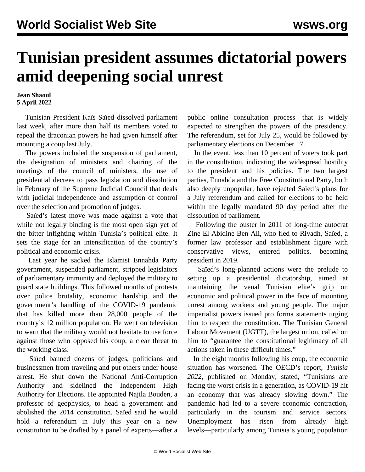## **Tunisian president assumes dictatorial powers amid deepening social unrest**

**Jean Shaoul 5 April 2022**

 Tunisian President Kaïs Saïed dissolved parliament last week, after more than half its members voted to repeal the draconian powers he had given himself after mounting a coup last July.

 The powers included the suspension of parliament, the designation of ministers and chairing of the meetings of the council of ministers, the use of presidential decrees to pass legislation and dissolution in February of the Supreme Judicial Council that deals with judicial independence and assumption of control over the selection and promotion of judges.

 Saïed's latest move was made against a vote that while not legally binding is the most open sign yet of the bitter infighting within Tunisia's political elite. It sets the stage for an intensification of the country's political and economic crisis.

 Last year he sacked the Islamist Ennahda Party government, suspended parliament, stripped legislators of parliamentary immunity and deployed the military to guard state buildings. This followed months of protests over police brutality, economic hardship and the government's handling of the COVID-19 pandemic that has killed more than 28,000 people of the country's 12 million population. He went on television to warn that the military would not hesitate to use force against those who opposed his coup, a clear threat to the working class.

 Saïed banned dozens of judges, politicians and businessmen from traveling and put others under house arrest. He shut down the National Anti-Corruption Authority and sidelined the Independent High Authority for Elections. He appointed Najila Bouden, a professor of geophysics, to head a government and abolished the 2014 constitution. Saïed said he would hold a referendum in July this year on a new constitution to be drafted by a panel of experts—after a public online consultation process—that is widely expected to strengthen the powers of the presidency. The referendum, set for July 25, would be followed by parliamentary elections on December 17.

 In the event, less than 10 percent of voters took part in the consultation, indicating the widespread hostility to the president and his policies. The two largest parties, Ennahda and the Free Constitutional Party, both also deeply unpopular, have rejected Saïed's plans for a July referendum and called for elections to be held within the legally mandated 90 day period after the dissolution of parliament.

 Following the ouster in 2011 of long-time autocrat Zine El Abidine Ben Ali, who fled to Riyadh, Saïed, a former law professor and establishment figure with conservative views, entered politics, becoming president in 2019.

 Saïed's long-planned actions were the prelude to setting up a presidential dictatorship, aimed at maintaining the venal Tunisian elite's grip on economic and political power in the face of mounting unrest among workers and young people. The major imperialist powers issued pro forma statements urging him to respect the constitution. The Tunisian General Labour Movement (UGTT), the largest union, called on him to "guarantee the constitutional legitimacy of all actions taken in these difficult times."

 In the eight months following his coup, the economic situation has worsened. The OECD's report, *Tunisia 2022,* published on Monday, stated, "Tunisians are facing the worst crisis in a generation, as COVID-19 hit an economy that was already slowing down." The pandemic had led to a severe economic contraction, particularly in the tourism and service sectors. Unemployment has risen from already high levels—particularly among Tunisia's young population